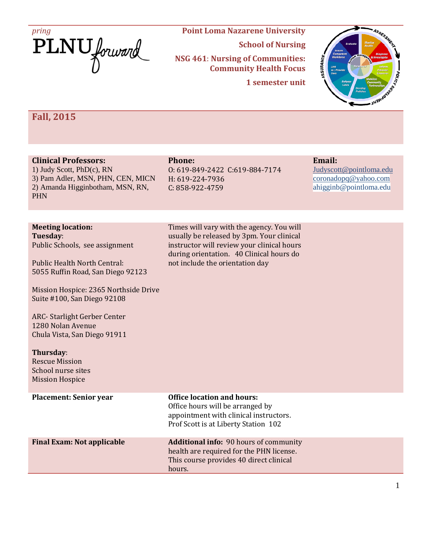

# **School of Nursing NSG 461**: **Nursing of Communities: Community Health Focus**

**1 semester unit**



# **Fall, 2015**

### **Clinical Professors:**

1) Judy Scott, PhD(c), RN 3) Pam Adler, MSN, PHN, CEN, MICN 2) Amanda Higginbotham, MSN, RN, PHN

# **Phone:**

O: 619-849-2422 C:619-884-7174 H: 619-224-7936 C: 858-922-4759

Times will vary with the agency. You will usually be released by 3pm. Your clinical instructor will review your clinical hours during orientation. 40 Clinical hours do

not include the orientation day

# **Email:**

[Judyscott@pointloma.edu](mailto:Judyscott@pointloma.edu) coronadopq@yahoo.com ahigginb@pointloma.edu

# **Meeting location:**

**Tuesday**: Public Schools, see assignment

Public Health North Central: 5055 Ruffin Road, San Diego 92123

Mission Hospice: 2365 Northside Drive Suite #100, San Diego 92108

ARC- Starlight Gerber Center 1280 Nolan Avenue Chula Vista, San Diego 91911

#### **Thursday**:

Rescue Mission School nurse sites Mission Hospice

| <b>Placement: Senior year</b>     | <b>Office location and hours:</b><br>Office hours will be arranged by<br>appointment with clinical instructors.<br>Prof Scott is at Liberty Station 102 |
|-----------------------------------|---------------------------------------------------------------------------------------------------------------------------------------------------------|
| <b>Final Exam: Not applicable</b> | <b>Additional info: 90 hours of community</b><br>health are required for the PHN license.<br>This course provides 40 direct clinical<br>hours.          |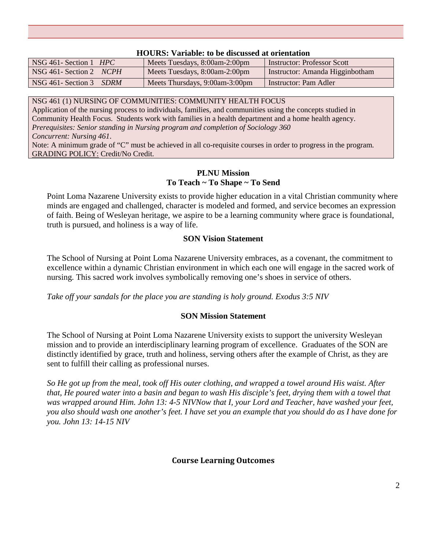# NSG 461- Section 1 *HPC* Meets Tuesdays, 8:00am-2:00pm | Instructor: Professor Scott NSG 461- Section 2 *NCPH* Meets Tuesdays, 8:00am-2:00pm Instructor: Amanda Higginbotham NSG 461- Section 3 *SDRM* Meets Thursdays, 9:00am-3:00pm Instructor: Pam Adler

#### **HOURS: Variable: to be discussed at orientation**

NSG 461 (1) NURSING OF COMMUNITIES: COMMUNITY HEALTH FOCUS

Application of the nursing process to individuals, families, and communities using the concepts studied in Community Health Focus. Students work with families in a health department and a home health agency. *Prerequisites: Senior standing in Nursing program and completion of Sociology 360 Concurrent: Nursing 461*.

Note: A minimum grade of "C" must be achieved in all co-requisite courses in order to progress in the program. GRADING POLICY: Credit/No Credit.

## **PLNU Mission To Teach ~ To Shape ~ To Send**

Point Loma Nazarene University exists to provide higher education in a vital Christian community where minds are engaged and challenged, character is modeled and formed, and service becomes an expression of faith. Being of Wesleyan heritage, we aspire to be a learning community where grace is foundational, truth is pursued, and holiness is a way of life.

# **SON Vision Statement**

The School of Nursing at Point Loma Nazarene University embraces, as a covenant, the commitment to excellence within a dynamic Christian environment in which each one will engage in the sacred work of nursing. This sacred work involves symbolically removing one's shoes in service of others.

*Take off your sandals for the place you are standing is holy ground. Exodus 3:5 NIV* 

# **SON Mission Statement**

The School of Nursing at Point Loma Nazarene University exists to support the university Wesleyan mission and to provide an interdisciplinary learning program of excellence. Graduates of the SON are distinctly identified by grace, truth and holiness, serving others after the example of Christ, as they are sent to fulfill their calling as professional nurses.

*So He got up from the meal, took off His outer clothing, and wrapped a towel around His waist. After that, He poured water into a basin and began to wash His disciple's feet, drying them with a towel that was wrapped around Him. John 13: 4-5 NIVNow that I, your Lord and Teacher, have washed your feet, you also should wash one another's feet. I have set you an example that you should do as I have done for you. John 13: 14-15 NIV* 

# **Course Learning Outcomes**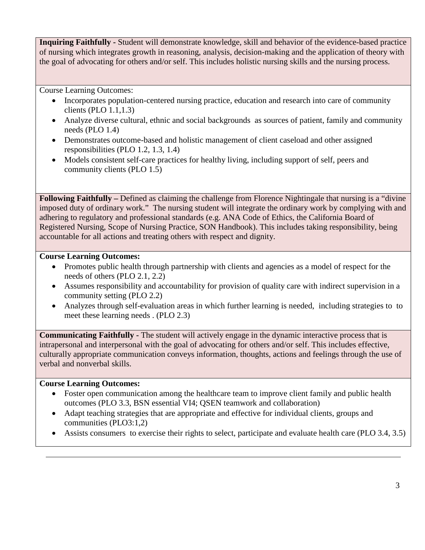**Inquiring Faithfully -** Student will demonstrate knowledge, skill and behavior of the evidence-based practice of nursing which integrates growth in reasoning, analysis, decision-making and the application of theory with the goal of advocating for others and/or self. This includes holistic nursing skills and the nursing process.

Course Learning Outcomes:

- Incorporates population-centered nursing practice, education and research into care of community clients (PLO 1.1,1.3)
- Analyze diverse cultural, ethnic and social backgrounds as sources of patient, family and community needs (PLO 1.4)
- Demonstrates outcome-based and holistic management of client caseload and other assigned responsibilities (PLO 1.2, 1.3, 1.4)
- Models consistent self-care practices for healthy living, including support of self, peers and community clients (PLO 1.5)

**Following Faithfully –** Defined as claiming the challenge from Florence Nightingale that nursing is a "divine imposed duty of ordinary work." The nursing student will integrate the ordinary work by complying with and adhering to regulatory and professional standards (e.g. ANA Code of Ethics, the California Board of Registered Nursing, Scope of Nursing Practice, SON Handbook). This includes taking responsibility, being accountable for all actions and treating others with respect and dignity.

# **Course Learning Outcomes:**

- Promotes public health through partnership with clients and agencies as a model of respect for the needs of others (PLO 2.1, 2.2)
- Assumes responsibility and accountability for provision of quality care with indirect supervision in a community setting (PLO 2.2)
- Analyzes through self-evaluation areas in which further learning is needed, including strategies to to meet these learning needs . (PLO 2.3)

**Communicating Faithfully -** The student will actively engage in the dynamic interactive process that is intrapersonal and interpersonal with the goal of advocating for others and/or self. This includes effective, culturally appropriate communication conveys information, thoughts, actions and feelings through the use of verbal and nonverbal skills.

# **Course Learning Outcomes:**

- Foster open communication among the healthcare team to improve client family and public health outcomes (PLO 3.3, BSN essential VI4; QSEN teamwork and collaboration)
- Adapt teaching strategies that are appropriate and effective for individual clients, groups and communities (PLO3:1,2)
- Assists consumers to exercise their rights to select, participate and evaluate health care (PLO 3.4, 3.5)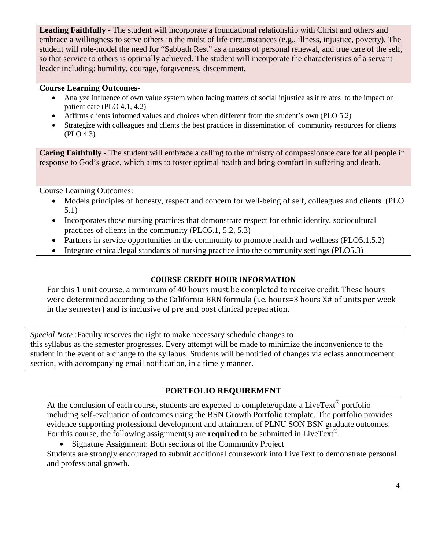**Leading Faithfully -** The student will incorporate a foundational relationship with Christ and others and embrace a willingness to serve others in the midst of life circumstances (e.g., illness, injustice, poverty). The student will role-model the need for "Sabbath Rest" as a means of personal renewal, and true care of the self, so that service to others is optimally achieved. The student will incorporate the characteristics of a servant leader including: humility, courage, forgiveness, discernment.

### **Course Learning Outcomes-**

- Analyze influence of own value system when facing matters of social injustice as it relates to the impact on patient care (PLO 4.1, 4.2)
- Affirms clients informed values and choices when different from the student's own (PLO 5.2)
- Strategize with colleagues and clients the best practices in dissemination of community resources for clients (PLO 4.3)

**Caring Faithfully -** The student will embrace a calling to the ministry of compassionate care for all people in response to God's grace, which aims to foster optimal health and bring comfort in suffering and death.

Course Learning Outcomes:

- Models principles of honesty, respect and concern for well-being of self, colleagues and clients. (PLO 5.1)
- Incorporates those nursing practices that demonstrate respect for ethnic identity, sociocultural practices of clients in the community (PLO5.1, 5.2, 5.3)
- Partners in service opportunities in the community to promote health and wellness (PLO5.1,5.2)
- Integrate ethical/legal standards of nursing practice into the community settings (PLO5.3)

# **COURSE CREDIT HOUR INFORMATION**

For this 1 unit course, a minimum of 40 hours must be completed to receive credit. These hours were determined according to the California BRN formula (i.e. hours=3 hours X# of units per week in the semester) and is inclusive of pre and post clinical preparation.

*Special Note* :Faculty reserves the right to make necessary schedule changes to this syllabus as the semester progresses. Every attempt will be made to minimize the inconvenience to the student in the event of a change to the syllabus. Students will be notified of changes via eclass announcement section, with accompanying email notification, in a timely manner.

# **PORTFOLIO REQUIREMENT**

At the conclusion of each course, students are expected to complete/update a LiveText<sup>®</sup> portfolio including self-evaluation of outcomes using the BSN Growth Portfolio template. The portfolio provides evidence supporting professional development and attainment of PLNU SON BSN graduate outcomes. For this course, the following assignment(s) are **required** to be submitted in LiveText®.

• Signature Assignment: Both sections of the Community Project

Students are strongly encouraged to submit additional coursework into LiveText to demonstrate personal and professional growth.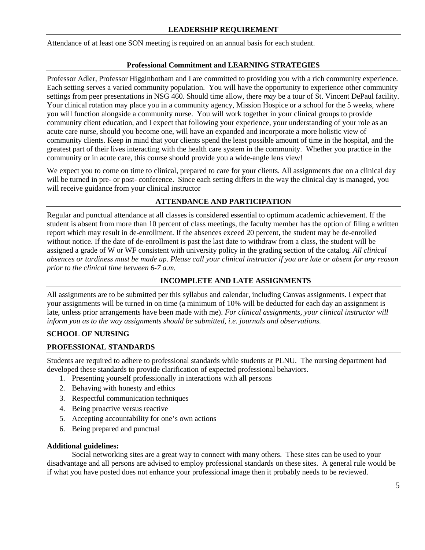#### **LEADERSHIP REQUIREMENT**

Attendance of at least one SON meeting is required on an annual basis for each student.

#### **Professional Commitment and LEARNING STRATEGIES**

Professor Adler, Professor Higginbotham and I are committed to providing you with a rich community experience. Each setting serves a varied community population. You will have the opportunity to experience other community settings from peer presentations in NSG 460. Should time allow, there *may* be a tour of St. Vincent DePaul facility. Your clinical rotation may place you in a community agency, Mission Hospice or a school for the 5 weeks, where you will function alongside a community nurse. You will work together in your clinical groups to provide community client education, and I expect that following your experience, your understanding of your role as an acute care nurse, should you become one, will have an expanded and incorporate a more holistic view of community clients. Keep in mind that your clients spend the least possible amount of time in the hospital, and the greatest part of their lives interacting with the health care system in the community. Whether you practice in the community or in acute care, this course should provide you a wide-angle lens view!

We expect you to come on time to clinical, prepared to care for your clients. All assignments due on a clinical day will be turned in pre- or post- conference. Since each setting differs in the way the clinical day is managed, you will receive guidance from your clinical instructor

#### **ATTENDANCE AND PARTICIPATION**

Regular and punctual attendance at all classes is considered essential to optimum academic achievement. If the student is absent from more than 10 percent of class meetings, the faculty member has the option of filing a written report which may result in de-enrollment. If the absences exceed 20 percent, the student may be de-enrolled without notice. If the date of de-enrollment is past the last date to withdraw from a class, the student will be assigned a grade of W or WF consistent with university policy in the grading section of the catalog. *All clinical absences or tardiness must be made up. Please call your clinical instructor if you are late or absent for any reason prior to the clinical time between 6-7 a.m.*

### **INCOMPLETE AND LATE ASSIGNMENTS**

All assignments are to be submitted per this syllabus and calendar, including Canvas assignments. I expect that your assignments will be turned in on time (a minimum of 10% will be deducted for each day an assignment is late, unless prior arrangements have been made with me). *For clinical assignments, your clinical instructor will inform you as to the way assignments should be submitted, i.e. journals and observations.*

### **SCHOOL OF NURSING**

#### **PROFESSIONAL STANDARDS**

Students are required to adhere to professional standards while students at PLNU. The nursing department had developed these standards to provide clarification of expected professional behaviors.

- 1. Presenting yourself professionally in interactions with all persons
- 2. Behaving with honesty and ethics
- 3. Respectful communication techniques
- 4. Being proactive versus reactive
- 5. Accepting accountability for one's own actions
- 6. Being prepared and punctual

#### **Additional guidelines:**

Social networking sites are a great way to connect with many others. These sites can be used to your disadvantage and all persons are advised to employ professional standards on these sites. A general rule would be if what you have posted does not enhance your professional image then it probably needs to be reviewed.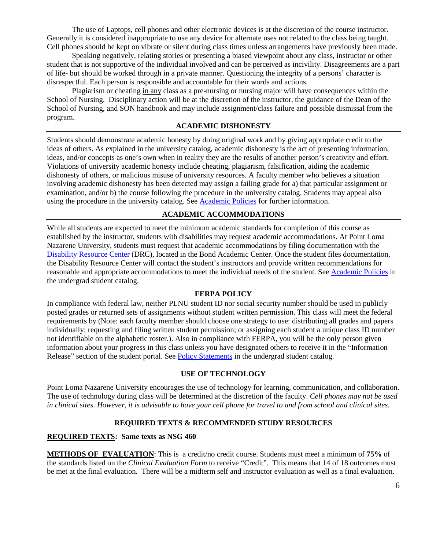The use of Laptops, cell phones and other electronic devices is at the discretion of the course instructor. Generally it is considered inappropriate to use any device for alternate uses not related to the class being taught. Cell phones should be kept on vibrate or silent during class times unless arrangements have previously been made.

Speaking negatively, relating stories or presenting a biased viewpoint about any class, instructor or other student that is not supportive of the individual involved and can be perceived as incivility. Disagreements are a part of life- but should be worked through in a private manner. Questioning the integrity of a persons' character is disrespectful. Each person is responsible and accountable for their words and actions.

Plagiarism or cheating in any class as a pre-nursing or nursing major will have consequences within the School of Nursing. Disciplinary action will be at the discretion of the instructor, the guidance of the Dean of the School of Nursing, and SON handbook and may include assignment/class failure and possible dismissal from the program.

#### **ACADEMIC DISHONESTY**

Students should demonstrate academic honesty by doing original work and by giving appropriate credit to the ideas of others. As explained in the university catalog, academic dishonesty is the act of presenting information, ideas, and/or concepts as one's own when in reality they are the results of another person's creativity and effort. Violations of university academic honesty include cheating, plagiarism, falsification, aiding the academic dishonesty of others, or malicious misuse of university resources. A faculty member who believes a situation involving academic dishonesty has been detected may assign a failing grade for a) that particular assignment or examination, and/or b) the course following the procedure in the university catalog. Students may appeal also using the procedure in the university catalog. See [Academic Policies](http://www.pointloma.edu/experience/academics/catalogs/undergraduate-catalog/point-loma-education/academic-policies) for further information.

#### **ACADEMIC ACCOMMODATIONS**

While all students are expected to meet the minimum academic standards for completion of this course as established by the instructor, students with disabilities may request academic accommodations. At Point Loma Nazarene University, students must request that academic accommodations by filing documentation with the [Disability Resource Center](http://www.pointloma.edu/experience/offices/administrative-offices/academic-advising-office/disability-resource-center) (DRC), located in the Bond Academic Center. Once the student files documentation, the Disability Resource Center will contact the student's instructors and provide written recommendations for reasonable and appropriate accommodations to meet the individual needs of the student. See [Academic Policies](http://www.pointloma.edu/experience/academics/catalogs/undergraduate-catalog/point-loma-education/academic-policies) in the undergrad student catalog.

#### **FERPA POLICY**

In compliance with federal law, neither PLNU student ID nor social security number should be used in publicly posted grades or returned sets of assignments without student written permission. This class will meet the federal requirements by (Note: each faculty member should choose one strategy to use: distributing all grades and papers individually; requesting and filing written student permission; or assigning each student a unique class ID number not identifiable on the alphabetic roster.). Also in compliance with FERPA, you will be the only person given information about your progress in this class unless you have designated others to receive it in the "Information Release" section of the student portal. See [Policy Statements](http://www.pointloma.edu/experience/academics/catalogs/undergraduate-catalog/policy-statements) in the undergrad student catalog.

#### **USE OF TECHNOLOGY**

Point Loma Nazarene University encourages the use of technology for learning, communication, and collaboration. The use of technology during class will be determined at the discretion of the faculty. *Cell phones may not be used in clinical sites. However, it is advisable to have your cell phone for travel to and from school and clinical sites.*

#### **REQUIRED TEXTS & RECOMMENDED STUDY RESOURCES**

#### **REQUIRED TEXTS: Same texts as NSG 460**

**METHODS OF EVALUATION**: This is a credit/no credit course. Students must meet a minimum of **75%** of the standards listed on the *Clinical Evaluation Form* to receive "Credit". This means that 14 of 18 outcomes must be met at the final evaluation. There will be a midterm self and instructor evaluation as well as a final evaluation.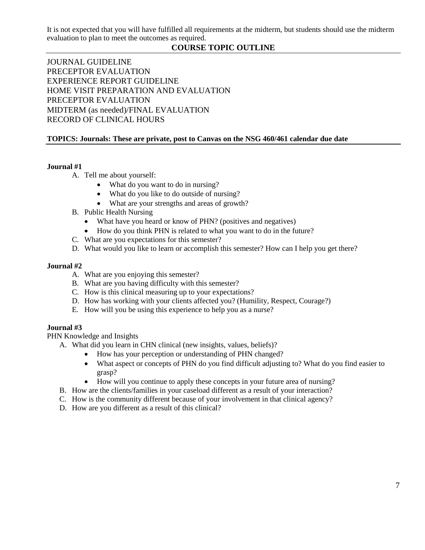It is not expected that you will have fulfilled all requirements at the midterm, but students should use the midterm evaluation to plan to meet the outcomes as required.

# **COURSE TOPIC OUTLINE**

JOURNAL GUIDELINE PRECEPTOR EVALUATION EXPERIENCE REPORT GUIDELINE HOME VISIT PREPARATION AND EVALUATION PRECEPTOR EVALUATION MIDTERM (as needed)/FINAL EVALUATION RECORD OF CLINICAL HOURS

### **TOPICS: Journals: These are private, post to Canvas on the NSG 460/461 calendar due date**

#### **Journal #1**

- A. Tell me about yourself:
	- What do you want to do in nursing?
	- What do you like to do outside of nursing?
	- What are your strengths and areas of growth?
- B. Public Health Nursing
	- What have you heard or know of PHN? (positives and negatives)
	- How do you think PHN is related to what you want to do in the future?
- C. What are you expectations for this semester?
- D. What would you like to learn or accomplish this semester? How can I help you get there?

#### **Journal #2**

- A. What are you enjoying this semester?
- B. What are you having difficulty with this semester?
- C. How is this clinical measuring up to your expectations?
- D. How has working with your clients affected you? (Humility, Respect, Courage?)
- E. How will you be using this experience to help you as a nurse?

#### **Journal #3**

PHN Knowledge and Insights

A. What did you learn in CHN clinical (new insights, values, beliefs)?

- How has your perception or understanding of PHN changed?
- What aspect or concepts of PHN do you find difficult adjusting to? What do you find easier to grasp?
- How will you continue to apply these concepts in your future area of nursing?
- B. How are the clients/families in your caseload different as a result of your interaction?
- C. How is the community different because of your involvement in that clinical agency?
- D. How are you different as a result of this clinical?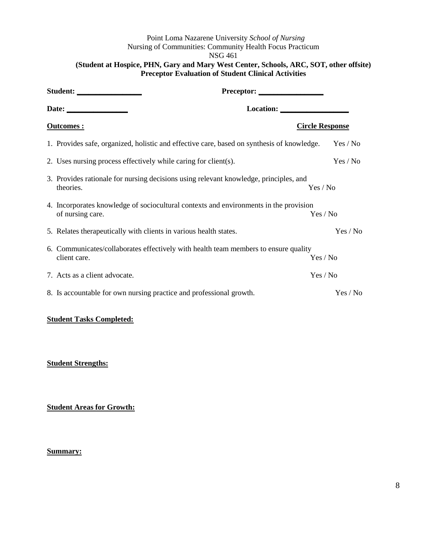Point Loma Nazarene University *School of Nursing* Nursing of Communities: Community Health Focus Practicum NSG 461

### **(Student at Hospice, PHN, Gary and Mary West Center, Schools, ARC, SOT, other offsite) Preceptor Evaluation of Student Clinical Activities**

| Location:                                                                                                 |                        |  |  |
|-----------------------------------------------------------------------------------------------------------|------------------------|--|--|
| <u>Outcomes:</u>                                                                                          | <b>Circle Response</b> |  |  |
| 1. Provides safe, organized, holistic and effective care, based on synthesis of knowledge.                | Yes / No               |  |  |
| 2. Uses nursing process effectively while caring for client(s).                                           | Yes / No               |  |  |
| 3. Provides rationale for nursing decisions using relevant knowledge, principles, and<br>theories.        | Yes / No               |  |  |
| 4. Incorporates knowledge of sociocultural contexts and environments in the provision<br>of nursing care. | Yes / No               |  |  |
| 5. Relates therapeutically with clients in various health states.                                         | Yes / No               |  |  |
| 6. Communicates/collaborates effectively with health team members to ensure quality<br>client care.       | Yes / No               |  |  |
| 7. Acts as a client advocate.                                                                             | Yes / No               |  |  |
| 8. Is accountable for own nursing practice and professional growth.                                       | Yes / No               |  |  |

#### **Student Tasks Completed:**

#### **Student Strengths:**

**Student Areas for Growth:**

**Summary:**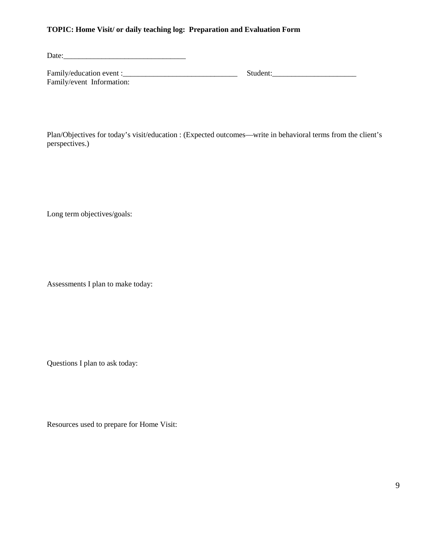#### **TOPIC: Home Visit/ or daily teaching log: Preparation and Evaluation Form**

Date:\_\_\_\_\_\_\_\_\_\_\_\_\_\_\_\_\_\_\_\_\_\_\_\_\_\_\_\_\_\_\_\_

Family/education event :\_\_\_\_\_\_\_\_\_\_\_\_\_\_\_\_\_\_\_\_\_\_\_\_\_\_\_\_\_\_ Student:\_\_\_\_\_\_\_\_\_\_\_\_\_\_\_\_\_\_\_\_\_\_ Family/event Information:

Plan/Objectives for today's visit/education : (Expected outcomes—write in behavioral terms from the client's perspectives.)

Long term objectives/goals:

Assessments I plan to make today:

Questions I plan to ask today:

Resources used to prepare for Home Visit: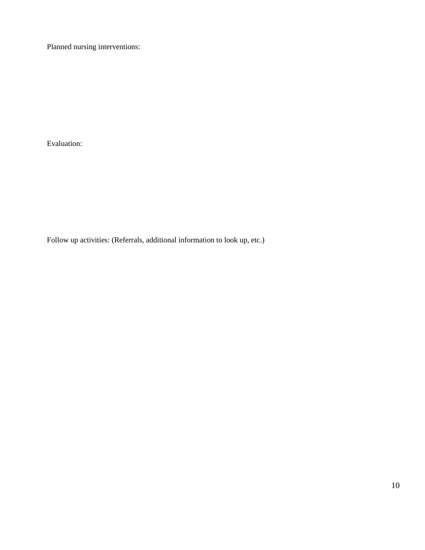Planned nursing interventions:

Evaluation:

Follow up activities: (Referrals, additional information to look up, etc.)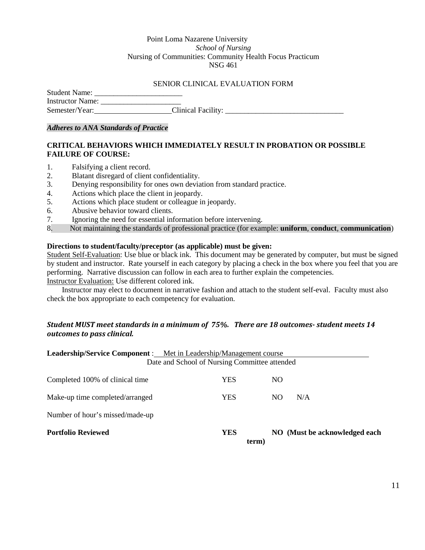#### Point Loma Nazarene University *School of Nursing* Nursing of Communities: Community Health Focus Practicum NSG 461

#### SENIOR CLINICAL EVALUATION FORM

| <b>Student Name:</b>    |                    |
|-------------------------|--------------------|
| <b>Instructor Name:</b> |                    |
| Semester/Year:          | Clinical Facility: |

#### *Adheres to ANA Standards of Practice*

### **CRITICAL BEHAVIORS WHICH IMMEDIATELY RESULT IN PROBATION OR POSSIBLE FAILURE OF COURSE:**

- 1. Falsifying a client record.
- 2. Blatant disregard of client confidentiality.
- 3. Denying responsibility for ones own deviation from standard practice.
- 4. Actions which place the client in jeopardy.
- 5. Actions which place student or colleague in jeopardy.
- 6. Abusive behavior toward clients.
- 7. Ignoring the need for essential information before intervening.
- 8. Not maintaining the standards of professional practice (for example: **uniform**, **conduct**, **communication**)

#### **Directions to student/faculty/preceptor (as applicable) must be given:**

Student Self-Evaluation: Use blue or black ink. This document may be generated by computer, but must be signed by student and instructor. Rate yourself in each category by placing a check in the box where you feel that you are performing. Narrative discussion can follow in each area to further explain the competencies. Instructor Evaluation: Use different colored ink.

Instructor may elect to document in narrative fashion and attach to the student self-eval. Faculty must also check the box appropriate to each competency for evaluation.

#### *Student MUST meet standards in a minimum of 75%. There are 18 outcomes- student meets 14 outcomes to pass clinical.*

| <b>Leadership/Service Component:</b> Met in Leadership/Management course |                                               |     |                               |
|--------------------------------------------------------------------------|-----------------------------------------------|-----|-------------------------------|
|                                                                          | Date and School of Nursing Committee attended |     |                               |
| Completed 100% of clinical time                                          | YES                                           | NO. |                               |
| Make-up time completed/arranged                                          | YES                                           | NO. | N/A                           |
| Number of hour's missed/made-up                                          |                                               |     |                               |
| <b>Portfolio Reviewed</b>                                                | <b>YES</b><br>term)                           |     | NO (Must be acknowledged each |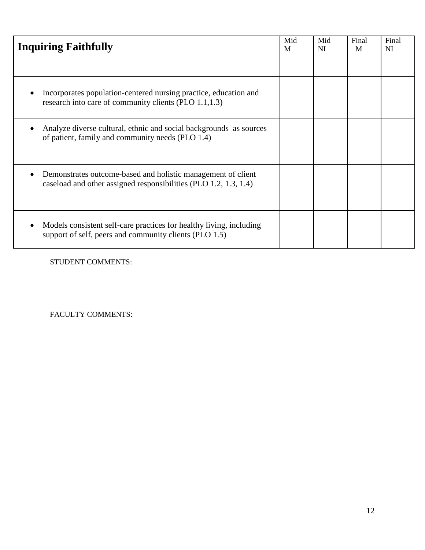| <b>Inquiring Faithfully</b>                                                                                                      | Mid<br>M | Mid<br>NI | Final<br>M | Final<br><b>NI</b> |
|----------------------------------------------------------------------------------------------------------------------------------|----------|-----------|------------|--------------------|
| Incorporates population-centered nursing practice, education and<br>research into care of community clients (PLO 1.1,1.3)        |          |           |            |                    |
| Analyze diverse cultural, ethnic and social backgrounds as sources<br>of patient, family and community needs (PLO 1.4)           |          |           |            |                    |
| Demonstrates outcome-based and holistic management of client<br>caseload and other assigned responsibilities (PLO 1.2, 1.3, 1.4) |          |           |            |                    |
| Models consistent self-care practices for healthy living, including<br>support of self, peers and community clients (PLO 1.5)    |          |           |            |                    |

STUDENT COMMENTS:

FACULTY COMMENTS: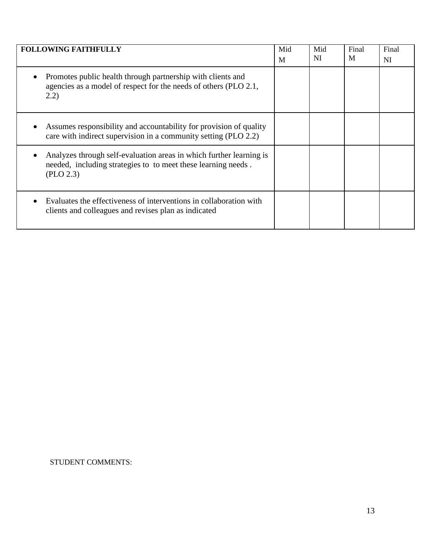| <b>FOLLOWING FAITHFULLY</b>                                                                                                                       | Mid<br>M | Mid<br>NI | Final<br>M | Final<br>NI |
|---------------------------------------------------------------------------------------------------------------------------------------------------|----------|-----------|------------|-------------|
| Promotes public health through partnership with clients and<br>agencies as a model of respect for the needs of others (PLO 2.1,<br>(2.2)          |          |           |            |             |
| Assumes responsibility and accountability for provision of quality<br>care with indirect supervision in a community setting (PLO 2.2)             |          |           |            |             |
| Analyzes through self-evaluation areas in which further learning is<br>needed, including strategies to to meet these learning needs.<br>(PLO 2.3) |          |           |            |             |
| Evaluates the effectiveness of interventions in collaboration with<br>clients and colleagues and revises plan as indicated                        |          |           |            |             |

STUDENT COMMENTS: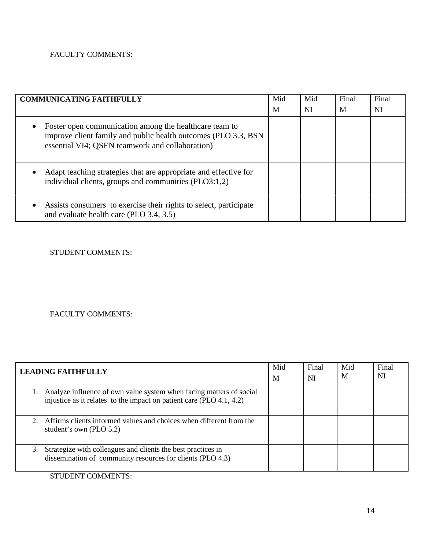# FACULTY COMMENTS:

| <b>COMMUNICATING FAITHFULLY</b>                                                                                                                                                          | Mid | Mid | Final | Final |
|------------------------------------------------------------------------------------------------------------------------------------------------------------------------------------------|-----|-----|-------|-------|
|                                                                                                                                                                                          | M   | NI  | M     | NI    |
| Foster open communication among the healthcare team to<br>$\bullet$<br>improve client family and public health outcomes (PLO 3.3, BSN<br>essential VI4; QSEN teamwork and collaboration) |     |     |       |       |
| Adapt teaching strategies that are appropriate and effective for<br>$\bullet$<br>individual clients, groups and communities (PLO3:1,2)                                                   |     |     |       |       |
| Assists consumers to exercise their rights to select, participate<br>$\bullet$<br>and evaluate health care (PLO 3.4, 3.5)                                                                |     |     |       |       |

STUDENT COMMENTS:

# FACULTY COMMENTS:

| <b>LEADING FAITHFULLY</b>                                                                                                                      | Mid<br>M | Final<br>NI | Mid<br>M | Final<br>NI |
|------------------------------------------------------------------------------------------------------------------------------------------------|----------|-------------|----------|-------------|
| 1. Analyze influence of own value system when facing matters of social<br>injustice as it relates to the impact on patient care (PLO 4.1, 4.2) |          |             |          |             |
| Affirms clients informed values and choices when different from the<br>$2^{\circ}$<br>student's own (PLO 5.2)                                  |          |             |          |             |
| Strategize with colleagues and clients the best practices in<br>3.<br>dissemination of community resources for clients (PLO 4.3)               |          |             |          |             |

STUDENT COMMENTS: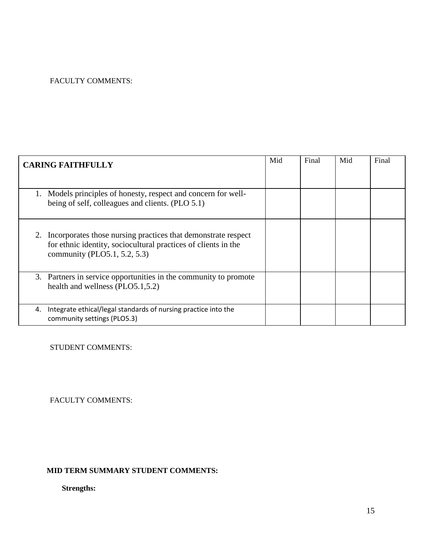# FACULTY COMMENTS:

| <b>CARING FAITHFULLY</b>                                                                                                                                              |  |  | Final | Mid | Final |
|-----------------------------------------------------------------------------------------------------------------------------------------------------------------------|--|--|-------|-----|-------|
| Models principles of honesty, respect and concern for well-<br>being of self, colleagues and clients. (PLO 5.1)                                                       |  |  |       |     |       |
| Incorporates those nursing practices that demonstrate respect<br>2.<br>for ethnic identity, sociocultural practices of clients in the<br>community (PLO5.1, 5.2, 5.3) |  |  |       |     |       |
| 3. Partners in service opportunities in the community to promote<br>health and wellness (PLO5.1,5.2)                                                                  |  |  |       |     |       |
| Integrate ethical/legal standards of nursing practice into the<br>4.<br>community settings (PLO5.3)                                                                   |  |  |       |     |       |

STUDENT COMMENTS:

FACULTY COMMENTS:

# **MID TERM SUMMARY STUDENT COMMENTS:**

**Strengths:**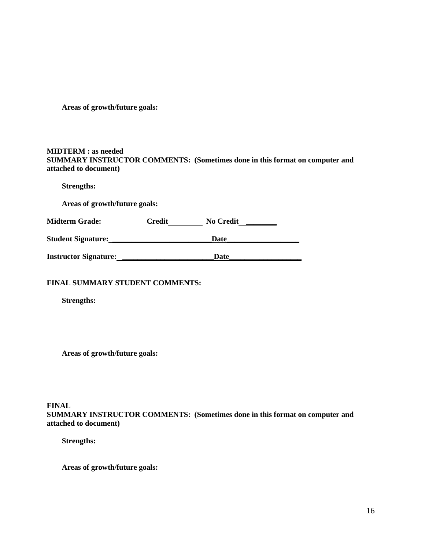**Areas of growth/future goals:**

#### **MIDTERM : as needed SUMMARY INSTRUCTOR COMMENTS: (Sometimes done in this format on computer and attached to document)**

**Strengths:**

**Areas of growth/future goals:**

Midterm Grade: Credit No Credit No Credit

**Student Signature: \_\_\_\_\_\_\_\_\_\_\_\_\_\_\_\_\_\_\_\_\_\_\_\_\_\_Date\_\_\_\_\_\_\_\_\_\_\_\_\_\_\_\_\_\_\_** 

|                              | Date |
|------------------------------|------|
| <b>Instructor Signature:</b> |      |

### **FINAL SUMMARY STUDENT COMMENTS:**

**Strengths:**

**Areas of growth/future goals:**

#### **FINAL SUMMARY INSTRUCTOR COMMENTS: (Sometimes done in this format on computer and attached to document)**

**Strengths:**

**Areas of growth/future goals:**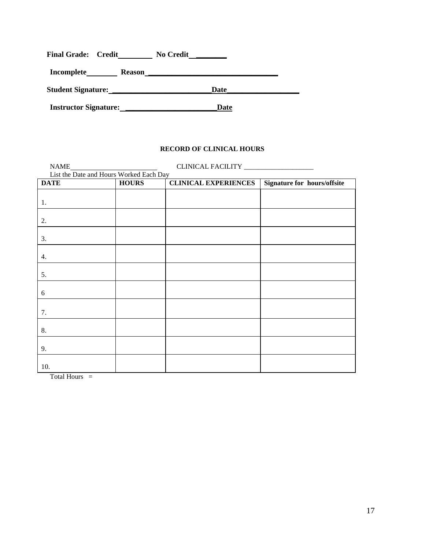| <b>Final Grade: Credit</b> |               | <b>No Credit</b> |  |
|----------------------------|---------------|------------------|--|
| Incomplete                 | <b>Reason</b> |                  |  |
| <b>Student Signature:</b>  |               | Date             |  |
|                            |               |                  |  |

**Instructor Signature: \_\_\_\_\_\_\_\_\_\_\_\_\_\_\_\_\_\_\_\_\_\_\_\_Date**

### **RECORD OF CLINICAL HOURS**

|                  | NAME<br>List the Date and Hours Worked Each Day |                             |                             |
|------------------|-------------------------------------------------|-----------------------------|-----------------------------|
| <b>DATE</b>      | <b>HOURS</b>                                    | <b>CLINICAL EXPERIENCES</b> | Signature for hours/offsite |
|                  |                                                 |                             |                             |
| 1.               |                                                 |                             |                             |
|                  |                                                 |                             |                             |
| 2.               |                                                 |                             |                             |
|                  |                                                 |                             |                             |
| 3.               |                                                 |                             |                             |
|                  |                                                 |                             |                             |
| $\overline{4}$ . |                                                 |                             |                             |
|                  |                                                 |                             |                             |
| 5.               |                                                 |                             |                             |
|                  |                                                 |                             |                             |
| 6                |                                                 |                             |                             |
|                  |                                                 |                             |                             |
| 7.               |                                                 |                             |                             |
| 8.               |                                                 |                             |                             |
|                  |                                                 |                             |                             |
| 9.               |                                                 |                             |                             |
|                  |                                                 |                             |                             |
| 10.              |                                                 |                             |                             |
|                  |                                                 |                             |                             |

Total Hours =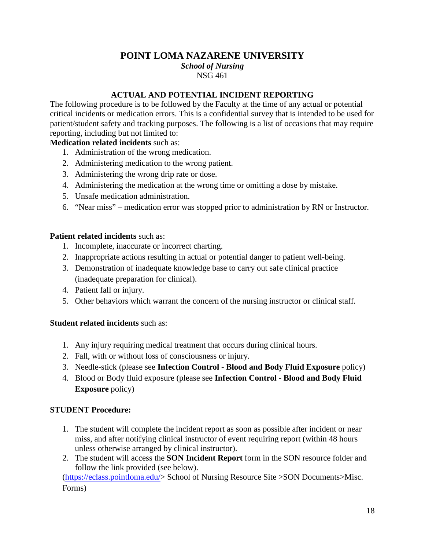# **POINT LOMA NAZARENE UNIVERSITY**

*School of Nursing* NSG 461

## **ACTUAL AND POTENTIAL INCIDENT REPORTING**

The following procedure is to be followed by the Faculty at the time of any actual or potential critical incidents or medication errors. This is a confidential survey that is intended to be used for patient/student safety and tracking purposes. The following is a list of occasions that may require reporting, including but not limited to:

# **Medication related incidents** such as:

- 1. Administration of the wrong medication.
- 2. Administering medication to the wrong patient.
- 3. Administering the wrong drip rate or dose.
- 4. Administering the medication at the wrong time or omitting a dose by mistake.
- 5. Unsafe medication administration.
- 6. "Near miss" medication error was stopped prior to administration by RN or Instructor.

### **Patient related incidents** such as:

- 1. Incomplete, inaccurate or incorrect charting.
- 2. Inappropriate actions resulting in actual or potential danger to patient well-being.
- 3. Demonstration of inadequate knowledge base to carry out safe clinical practice (inadequate preparation for clinical).
- 4. Patient fall or injury.
- 5. Other behaviors which warrant the concern of the nursing instructor or clinical staff.

### **Student related incidents** such as:

- 1. Any injury requiring medical treatment that occurs during clinical hours.
- 2. Fall, with or without loss of consciousness or injury.
- 3. Needle-stick (please see **Infection Control - Blood and Body Fluid Exposure** policy)
- 4. Blood or Body fluid exposure (please see **Infection Control - Blood and Body Fluid Exposure** policy)

### **STUDENT Procedure:**

- 1. The student will complete the incident report as soon as possible after incident or near miss, and after notifying clinical instructor of event requiring report (within 48 hours unless otherwise arranged by clinical instructor).
- 2. The student will access the **SON Incident Report** form in the SON resource folder and follow the link provided (see below).

[\(https://eclass.pointloma.edu/>](https://eclass.pointloma.edu/) School of Nursing Resource Site >SON Documents>Misc. Forms)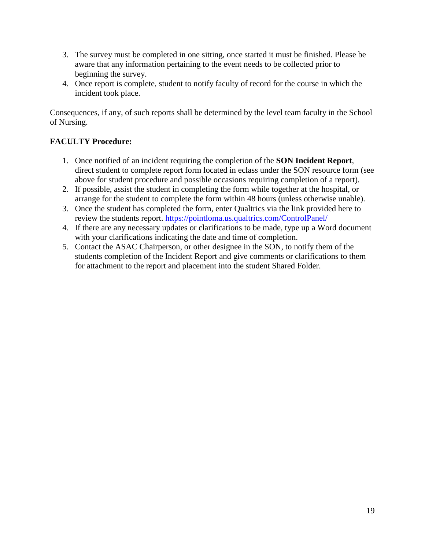- 3. The survey must be completed in one sitting, once started it must be finished. Please be aware that any information pertaining to the event needs to be collected prior to beginning the survey.
- 4. Once report is complete, student to notify faculty of record for the course in which the incident took place.

Consequences, if any, of such reports shall be determined by the level team faculty in the School of Nursing.

# **FACULTY Procedure:**

- 1. Once notified of an incident requiring the completion of the **SON Incident Report**, direct student to complete report form located in eclass under the SON resource form (see above for student procedure and possible occasions requiring completion of a report).
- 2. If possible, assist the student in completing the form while together at the hospital, or arrange for the student to complete the form within 48 hours (unless otherwise unable).
- 3. Once the student has completed the form, enter Qualtrics via the link provided here to review the students report.<https://pointloma.us.qualtrics.com/ControlPanel/>
- 4. If there are any necessary updates or clarifications to be made, type up a Word document with your clarifications indicating the date and time of completion.
- 5. Contact the ASAC Chairperson, or other designee in the SON, to notify them of the students completion of the Incident Report and give comments or clarifications to them for attachment to the report and placement into the student Shared Folder.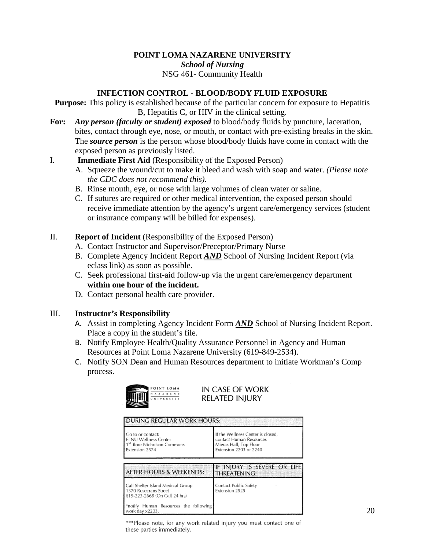# **POINT LOMA NAZARENE UNIVERSITY** *School of Nursing* NSG 461- Community Health

# **INFECTION CONTROL - BLOOD/BODY FLUID EXPOSURE**

**Purpose:** This policy is established because of the particular concern for exposure to Hepatitis B, Hepatitis C, or HIV in the clinical setting.

**For:** *Any person (faculty or student) exposed* to blood/body fluids by puncture, laceration, bites, contact through eye, nose, or mouth, or contact with pre-existing breaks in the skin. The *source person* is the person whose blood/body fluids have come in contact with the exposed person as previously listed.

### I. **Immediate First Aid** (Responsibility of the Exposed Person)

- A. Squeeze the wound/cut to make it bleed and wash with soap and water. *(Please note the CDC does not recommend this)*.
- B. Rinse mouth, eye, or nose with large volumes of clean water or saline.
- C. If sutures are required or other medical intervention, the exposed person should receive immediate attention by the agency's urgent care/emergency services (student or insurance company will be billed for expenses).

### II. **Report of Incident** (Responsibility of the Exposed Person)

- A. Contact Instructor and Supervisor/Preceptor/Primary Nurse
- B. Complete Agency Incident Report *AND* School of Nursing Incident Report (via eclass link) as soon as possible.
- C. Seek professional first-aid follow-up via the urgent care/emergency department **within one hour of the incident.**
- D. Contact personal health care provider.

### III. **Instructor's Responsibility**

- A. Assist in completing Agency Incident Form *AND* School of Nursing Incident Report. Place a copy in the student's file.
- B. Notify Employee Health/Quality Assurance Personnel in Agency and Human Resources at Point Loma Nazarene University (619-849-2534).
- C. Notify SON Dean and Human Resources department to initiate Workman's Comp process.

|   | POINT LOMA |  |       |  |  |  |
|---|------------|--|-------|--|--|--|
|   |            |  | ZAREN |  |  |  |
| Ш |            |  |       |  |  |  |

IN CASE OF WORK **RELATED INJURY** 

| <b>DURING REGULAR WORK HOURS:</b>                                                                             |                                                                                                                  |  |  |  |  |
|---------------------------------------------------------------------------------------------------------------|------------------------------------------------------------------------------------------------------------------|--|--|--|--|
| Go to or contact:<br><b>PLNU Wellness Center</b><br>1 <sup>5T</sup> floor Nicholson Commons<br>Extension 2574 | If the Wellness Center is closed,<br>contact Human Resources<br>Mieras Hall, Top Floor<br>Extension 2203 or 2240 |  |  |  |  |
| <b>AFTER HOURS &amp; WEEKENDS:</b>                                                                            | IF INJURY IS SEVERE OR LIFE<br>THREATENING:                                                                      |  |  |  |  |
| Call Shelter Island Medical Group<br>1370 Rosecrans Street<br>619-223-2668 (On Call 24 hrs)                   | Contact Public Safety<br>Extension 2525                                                                          |  |  |  |  |
| *notify Human Resources the following<br>work day x2203.                                                      |                                                                                                                  |  |  |  |  |

\*\*\*Please note, for any work related injury you must contact one of these parties immediately.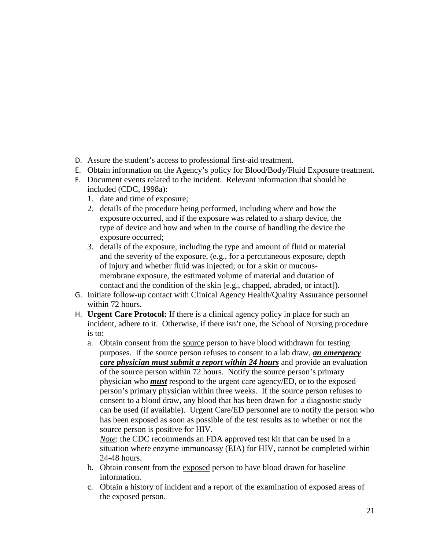- D. Assure the student's access to professional first-aid treatment.
- E. Obtain information on the Agency's policy for Blood/Body/Fluid Exposure treatment.
- F. Document events related to the incident. Relevant information that should be included (CDC, 1998a):
	- 1. date and time of exposure;
	- 2. details of the procedure being performed, including where and how the exposure occurred, and if the exposure was related to a sharp device, the type of device and how and when in the course of handling the device the exposure occurred;
	- 3. details of the exposure, including the type and amount of fluid or material and the severity of the exposure, (e.g., for a percutaneous exposure, depth of injury and whether fluid was injected; or for a skin or mucous membrane exposure, the estimated volume of material and duration of contact and the condition of the skin [e.g., chapped, abraded, or intact]).
- G. Initiate follow-up contact with Clinical Agency Health/Quality Assurance personnel within 72 hours.
- H. **Urgent Care Protocol:** If there is a clinical agency policy in place for such an incident, adhere to it. Otherwise, if there isn't one, the School of Nursing procedure is to:
	- a. Obtain consent from the source person to have blood withdrawn for testing purposes. If the source person refuses to consent to a lab draw, *an emergency care physician must submit a report within 24 hours* and provide an evaluation of the source person within 72 hours. Notify the source person's primary physician who *must* respond to the urgent care agency/ED, or to the exposed person's primary physician within three weeks. If the source person refuses to consent to a blood draw, any blood that has been drawn for a diagnostic study can be used (if available). Urgent Care/ED personnel are to notify the person who has been exposed as soon as possible of the test results as to whether or not the source person is positive for HIV.

*Note*: the CDC recommends an FDA approved test kit that can be used in a situation where enzyme immunoassy (EIA) for HIV, cannot be completed within 24-48 hours.

- b. Obtain consent from the exposed person to have blood drawn for baseline information.
- c. Obtain a history of incident and a report of the examination of exposed areas of the exposed person.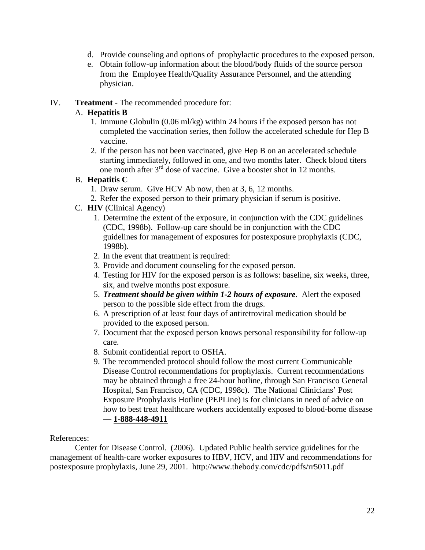- d. Provide counseling and options of prophylactic procedures to the exposed person.
- e. Obtain follow-up information about the blood/body fluids of the source person from the Employee Health/Quality Assurance Personnel, and the attending physician.

### IV. **Treatment** - The recommended procedure for:

## A. **Hepatitis B**

- 1. Immune Globulin (0.06 ml/kg) within 24 hours if the exposed person has not completed the vaccination series, then follow the accelerated schedule for Hep B vaccine.
- 2. If the person has not been vaccinated, give Hep B on an accelerated schedule starting immediately, followed in one, and two months later. Check blood titers one month after 3rd dose of vaccine. Give a booster shot in 12 months.

### B. **Hepatitis C**

- 1. Draw serum. Give HCV Ab now, then at 3, 6, 12 months.
- 2. Refer the exposed person to their primary physician if serum is positive.
- C. **HIV** (Clinical Agency)
	- 1. Determine the extent of the exposure, in conjunction with the CDC guidelines (CDC, 1998b). Follow-up care should be in conjunction with the CDC guidelines for management of exposures for postexposure prophylaxis (CDC, 1998b).
	- 2. In the event that treatment is required:
	- 3. Provide and document counseling for the exposed person.
	- 4. Testing for HIV for the exposed person is as follows: baseline, six weeks, three, six, and twelve months post exposure.
	- 5. *Treatment should be given within 1-2 hours of exposure.* Alert the exposed person to the possible side effect from the drugs.
	- 6. A prescription of at least four days of antiretroviral medication should be provided to the exposed person.
	- 7. Document that the exposed person knows personal responsibility for follow-up care.
	- 8. Submit confidential report to OSHA.
	- 9. The recommended protocol should follow the most current Communicable Disease Control recommendations for prophylaxis. Current recommendations may be obtained through a free 24-hour hotline, through San Francisco General Hospital, San Francisco, CA (CDC, 1998c). The National Clinicians' Post Exposure Prophylaxis Hotline (PEPLine) is for clinicians in need of advice on how to best treat healthcare workers accidentally exposed to blood-borne disease **— 1-888-448-4911**

### References:

Center for Disease Control. (2006). Updated Public health service guidelines for the management of health-care worker exposures to HBV, HCV, and HIV and recommendations for postexposure prophylaxis, June 29, 2001. http://www.thebody.com/cdc/pdfs/rr5011.pdf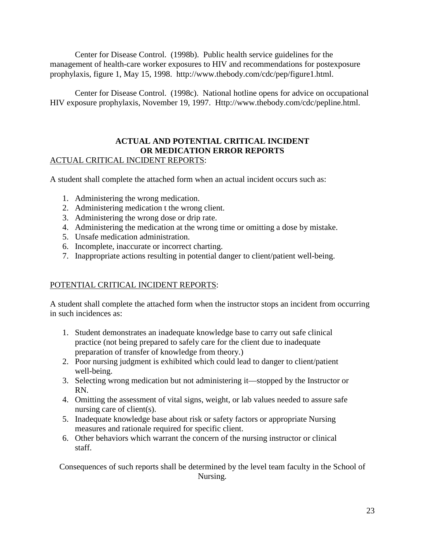Center for Disease Control. (1998b). Public health service guidelines for the management of health-care worker exposures to HIV and recommendations for postexposure prophylaxis, figure 1, May 15, 1998. http://www.thebody.com/cdc/pep/figure1.html.

Center for Disease Control. (1998c). National hotline opens for advice on occupational HIV exposure prophylaxis, November 19, 1997. Http://www.thebody.com/cdc/pepline.html.

# **ACTUAL AND POTENTIAL CRITICAL INCIDENT OR MEDICATION ERROR REPORTS** ACTUAL CRITICAL INCIDENT REPORTS:

A student shall complete the attached form when an actual incident occurs such as:

- 1. Administering the wrong medication.
- 2. Administering medication t the wrong client.
- 3. Administering the wrong dose or drip rate.
- 4. Administering the medication at the wrong time or omitting a dose by mistake.
- 5. Unsafe medication administration.
- 6. Incomplete, inaccurate or incorrect charting.
- 7. Inappropriate actions resulting in potential danger to client/patient well-being.

# POTENTIAL CRITICAL INCIDENT REPORTS:

A student shall complete the attached form when the instructor stops an incident from occurring in such incidences as:

- 1. Student demonstrates an inadequate knowledge base to carry out safe clinical practice (not being prepared to safely care for the client due to inadequate preparation of transfer of knowledge from theory.)
- 2. Poor nursing judgment is exhibited which could lead to danger to client/patient well-being.
- 3. Selecting wrong medication but not administering it—stopped by the Instructor or RN.
- 4. Omitting the assessment of vital signs, weight, or lab values needed to assure safe nursing care of client(s).
- 5. Inadequate knowledge base about risk or safety factors or appropriate Nursing measures and rationale required for specific client.
- 6. Other behaviors which warrant the concern of the nursing instructor or clinical staff.

Consequences of such reports shall be determined by the level team faculty in the School of Nursing.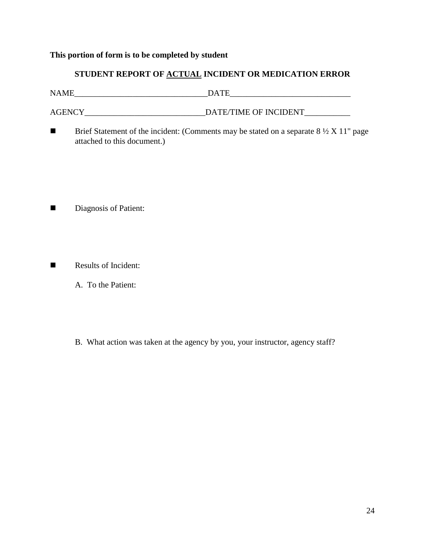## **This portion of form is to be completed by student**

# **STUDENT REPORT OF ACTUAL INCIDENT OR MEDICATION ERROR**

| <b>NAME</b> | <b>DATE</b>           |
|-------------|-----------------------|
|             |                       |
| AGENCY      | DATE/TIME OF INCIDENT |

Brief Statement of the incident: (Comments may be stated on a separate  $8\frac{1}{2}$  X 11" page attached to this document.)

- Diagnosis of Patient:
- Results of Incident:
	- A. To the Patient:
	- B. What action was taken at the agency by you, your instructor, agency staff?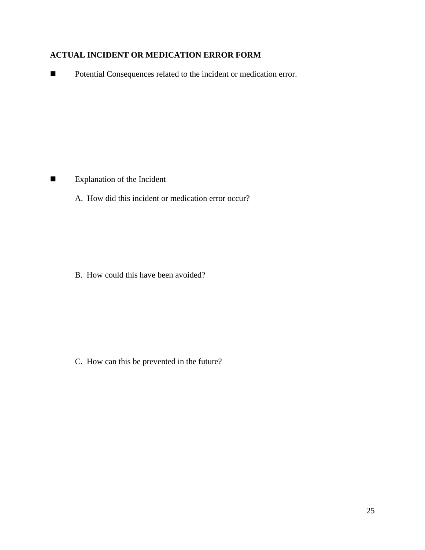# **ACTUAL INCIDENT OR MEDICATION ERROR FORM**

■ Potential Consequences related to the incident or medication error.

**Explanation of the Incident** 

A. How did this incident or medication error occur?

B. How could this have been avoided?

C. How can this be prevented in the future?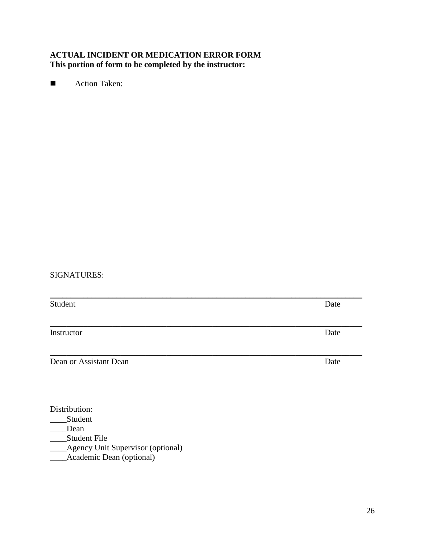# **ACTUAL INCIDENT OR MEDICATION ERROR FORM This portion of form to be completed by the instructor:**

**Action Taken:** 

# SIGNATURES:

| Student                | Date |
|------------------------|------|
|                        |      |
| Instructor             | Date |
| Dean or Assistant Dean | Date |
|                        |      |

Distribution:

- \_\_\_\_\_Student
- $\Box$ Dean
- \_\_\_\_Student File

\_\_\_\_Agency Unit Supervisor (optional)

\_\_\_\_Academic Dean (optional)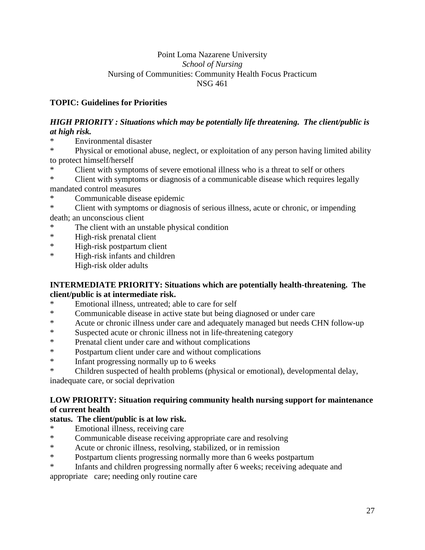# Point Loma Nazarene University *School of Nursing* Nursing of Communities: Community Health Focus Practicum NSG 461

# **TOPIC: Guidelines for Priorities**

# *HIGH PRIORITY : Situations which may be potentially life threatening. The client/public is at high risk.*

Environmental disaster

\* Physical or emotional abuse, neglect, or exploitation of any person having limited ability to protect himself/herself

Client with symptoms of severe emotional illness who is a threat to self or others

\* Client with symptoms or diagnosis of a communicable disease which requires legally mandated control measures

Communicable disease epidemic

\* Client with symptoms or diagnosis of serious illness, acute or chronic, or impending death; an unconscious client

- The client with an unstable physical condition
- \* High-risk prenatal client
- \* High-risk postpartum client
- \* High-risk infants and children High-risk older adults

# **INTERMEDIATE PRIORITY: Situations which are potentially health-threatening. The client/public is at intermediate risk.**

- Emotional illness, untreated; able to care for self
- \* Communicable disease in active state but being diagnosed or under care
- \* Acute or chronic illness under care and adequately managed but needs CHN follow-up
- \* Suspected acute or chronic illness not in life-threatening category
- \* Prenatal client under care and without complications<br>
\* Postpartum client under care and without complications
- \* Postpartum client under care and without complications<br>  $*$  Infant progressing pormally up to 6 weeks
- Infant progressing normally up to 6 weeks
- \* Children suspected of health problems (physical or emotional), developmental delay,

inadequate care, or social deprivation

# **LOW PRIORITY: Situation requiring community health nursing support for maintenance of current health**

# **status. The client/public is at low risk.**

- \* Emotional illness, receiving care
- \* Communicable disease receiving appropriate care and resolving<br>Acute or chronic illness resolving stabilized or in remission
- Acute or chronic illness, resolving, stabilized, or in remission
- \* Postpartum clients progressing normally more than 6 weeks postpartum
- \* Infants and children progressing normally after 6 weeks; receiving adequate and appropriate care; needing only routine care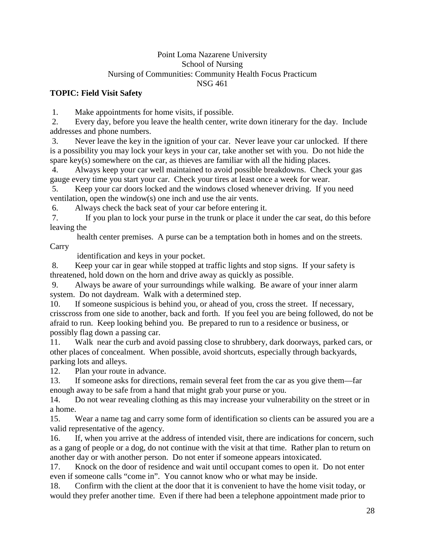### Point Loma Nazarene University School of Nursing Nursing of Communities: Community Health Focus Practicum NSG 461

# **TOPIC: Field Visit Safety**

1. Make appointments for home visits, if possible.

2. Every day, before you leave the health center, write down itinerary for the day. Include addresses and phone numbers.

3. Never leave the key in the ignition of your car. Never leave your car unlocked. If there is a possibility you may lock your keys in your car, take another set with you. Do not hide the spare key(s) somewhere on the car, as thieves are familiar with all the hiding places.

4. Always keep your car well maintained to avoid possible breakdowns. Check your gas gauge every time you start your car. Check your tires at least once a week for wear.

5. Keep your car doors locked and the windows closed whenever driving. If you need ventilation, open the window(s) one inch and use the air vents.

6. Always check the back seat of your car before entering it.

7. If you plan to lock your purse in the trunk or place it under the car seat, do this before leaving the

 health center premises. A purse can be a temptation both in homes and on the streets. **Carry** 

identification and keys in your pocket.

8. Keep your car in gear while stopped at traffic lights and stop signs. If your safety is threatened, hold down on the horn and drive away as quickly as possible.

9. Always be aware of your surroundings while walking. Be aware of your inner alarm system. Do not daydream. Walk with a determined step.

10. If someone suspicious is behind you, or ahead of you, cross the street. If necessary, crisscross from one side to another, back and forth. If you feel you are being followed, do not be afraid to run. Keep looking behind you. Be prepared to run to a residence or business, or possibly flag down a passing car.

11. Walk near the curb and avoid passing close to shrubbery, dark doorways, parked cars, or other places of concealment. When possible, avoid shortcuts, especially through backyards, parking lots and alleys.

12. Plan your route in advance.

13. If someone asks for directions, remain several feet from the car as you give them—far enough away to be safe from a hand that might grab your purse or you.

14. Do not wear revealing clothing as this may increase your vulnerability on the street or in a home.

15. Wear a name tag and carry some form of identification so clients can be assured you are a valid representative of the agency.

16. If, when you arrive at the address of intended visit, there are indications for concern, such as a gang of people or a dog, do not continue with the visit at that time. Rather plan to return on another day or with another person. Do not enter if someone appears intoxicated.

17. Knock on the door of residence and wait until occupant comes to open it. Do not enter even if someone calls "come in". You cannot know who or what may be inside.

18. Confirm with the client at the door that it is convenient to have the home visit today, or would they prefer another time. Even if there had been a telephone appointment made prior to